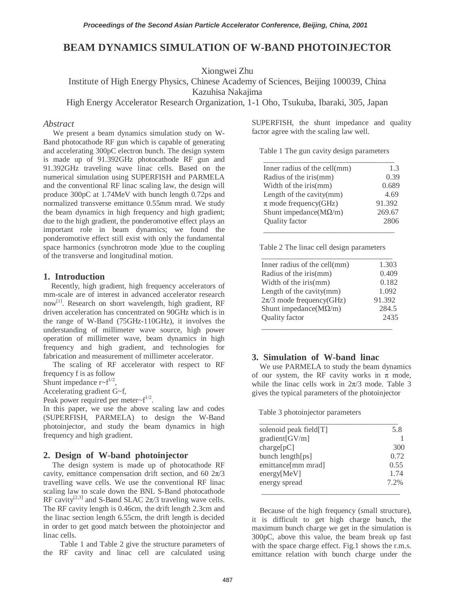# **BEAM DYNAMICS SIMULATION OF W-BAND PHOTOINJECTOR**

Xiongwei Zhu

Institute of High Energy Physics, Chinese Academy of Sciences, Beijing 100039, China

Kazuhisa Nakajima

High Energy Accelerator Research Organization, 1-1 Oho, Tsukuba, Ibaraki, 305, Japan

### *Abstract*

We present a beam dynamics simulation study on W-Band photocathode RF gun which is capable of generating and accelerating 300pC electron bunch. The design system is made up of 91.392GHz photocathode RF gun and 91.392GHz traveling wave linac cells. Based on the numerical simulation using SUPERFISH and PARMELA and the conventional RF linac scaling law, the design will produce 300pC at 1.74MeV with bunch length 0.72ps and normalized transverse emittance 0.55mm mrad. We study the beam dynamics in high frequency and high gradient; due to the high gradient, the ponderomotive effect plays an important role in beam dynamics; we found the ponderomotive effect still exist with only the fundamental space harmonics (synchrotron mode )due to the coupling of the transverse and longitudinal motion.

## **1. Introduction**

Recently, high gradient, high frequency accelerators of mm-scale are of interest in advanced accelerator research now<sup>[1]</sup>. Research on short wavelength, high gradient, RF driven acceleration has concentrated on 90GHz which is in the range of W-Band (75GHz-110GHz), it involves the understanding of millimeter wave source, high power operation of millimeter wave, beam dynamics in high frequency and high gradient, and technologies for fabrication and measurement of millimeter accelerator.

The scaling of RF accelerator with respect to RF frequency f is as follow

Shunt impedance  $r-f^{1/2}$ ,

Accelerating gradient G~f,

Peak power required per meter $\sim f^{1/2}$ .

In this paper, we use the above scaling law and codes (SUPERFISH, PARMELA) to design the W-Band photoinjector, and study the beam dynamics in high frequency and high gradient.

#### **2. Design of W-band photoinjector**

The design system is made up of photocathode RF cavity, emittance compensation drift section, and 60  $2\pi/3$ travelling wave cells. We use the conventional RF linac scaling law to scale down the BNL S-Band photocathode RF cavity<sup>[2,3]</sup> and S-Band SLAC  $2\pi/3$  traveling wave cells. The RF cavity length is 0.46cm, the drift length 2.3cm and the linac section length 6.55cm, the drift length is decided in order to get good match between the photoinjector and linac cells.

Table 1 and Table 2 give the structure parameters of the RF cavity and linac cell are calculated using SUPERFISH, the shunt impedance and quality factor agree with the scaling law well.

Table 1 The gun cavity design parameters

| Inner radius of the cell(mm)    | 1.3    |
|---------------------------------|--------|
| Radius of the iris(mm)          | 0.39   |
| Width of the iris(mm)           | 0.689  |
| Length of the cavity(mm)        | 4.69   |
| $\pi$ mode frequency(GHz)       | 91.392 |
| Shunt impedance ( $M\Omega/m$ ) | 269.67 |
| Quality factor                  | 2806   |

Table 2 The linac cell design parameters

| Inner radius of the cell(mm)    | 1.303  |
|---------------------------------|--------|
| Radius of the iris(mm)          | 0.409  |
| Width of the iris(mm)           | 0.182  |
| Length of the cavity(mm)        | 1.092  |
| $2\pi/3$ mode frequency(GHz)    | 91.392 |
| Shunt impedance ( $M\Omega/m$ ) | 284.5  |
| Quality factor                  | 2435   |

### **3. Simulation of W-band linac**

We use PARMELA to study the beam dynamics of our system, the RF cavity works in  $\pi$  mode, while the linac cells work in  $2\pi/3$  mode. Table 3 gives the typical parameters of the photoinjector

Table 3 photoinjector parameters

| solenoid peak field[T] | 5.8     |
|------------------------|---------|
| gradient[GV/m]         |         |
| charge[pC]             | 300     |
| bunch length[ps]       | 0.72    |
| emittance[mm mrad]     | 0.55    |
| energy[MeV]            | 1.74    |
| energy spread          | $7.2\%$ |

Because of the high frequency (small structure), it is difficult to get high charge bunch, the maximum bunch charge we get in the simulation is 300pC, above this value, the beam break up fast with the space charge effect. Fig.1 shows the r.m.s. emittance relation with bunch charge under the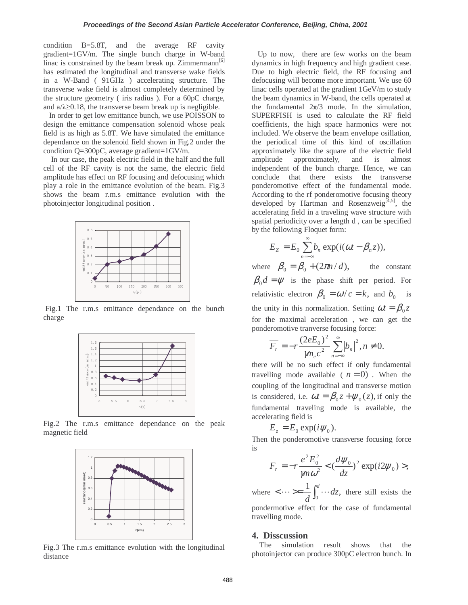condition B=5.8T, and the average RF cavity gradient=1GV/m. The single bunch charge in W-band linac is constrained by the beam break up. Zimmermann<sup>[6]</sup> has estimated the longitudinal and transverse wake fields in a W-Band ( 91GHz ) accelerating structure. The transverse wake field is almost completely determined by the structure geometry ( iris radius ). For a 60pC charge, and  $a/\lambda \geq 0.18$ , the transverse beam break up is negligible.

In order to get low emittance bunch, we use POISSON to design the emittance compensation solenoid whose peak field is as high as 5.8T. We have simulated the emittance dependance on the solenoid field shown in Fig.2 under the condition Q=300pC, average gradient=1GV/m.

In our case, the peak electric field in the half and the full cell of the RF cavity is not the same, the electric field amplitude has effect on RF focusing and defocusing which play a role in the emittance evolution of the beam. Fig.3 shows the beam r.m.s emittance evolution with the photoinjector longitudinal position .



Fig.1 The r.m.s emittance dependance on the bunch charge



Fig.2 The r.m.s emittance dependance on the peak magnetic field



Fig.3 The r.m.s emittance evolution with the longitudinal distance

Up to now, there are few works on the beam dynamics in high frequency and high gradient case. Due to high electric field, the RF focusing and defocusing will become more important. We use 60 linac cells operated at the gradient 1GeV/m to study the beam dynamics in W-band, the cells operated at the fundamental  $2\pi/3$  mode. In the simulation, SUPERFISH is used to calculate the RF field coefficients, the high space harmonics were not included. We observe the beam envelope osillation, the periodical time of this kind of oscillation approximately like the square of the electric field amplitude approximately, and is almost independent of the bunch charge. Hence, we can conclude that there exists the transverse ponderomotive effect of the fundamental mode. According to the rf ponderomotive focusing theory developed by Hartman and Rosenzweig<sup>[4,5]</sup>, the accelerating field in a traveling wave structure with spatial periodicity over a length d , can be specified by the following Floquet form:

$$
E_z = E_0 \sum_{n=-\infty}^{\infty} b_n \exp(i(\omega t - \beta_n z)),
$$

where  $\beta_0 = \beta_0 + (2\pi n / d)$ , the constant  $\beta_0 d = \psi$  is the phase shift per period. For relativistic electron  $\beta_0 = \omega/c = k$ , and  $b_0$  is the unity in this normalization. Setting  $\omega t = \beta_0 z$ for the maximal acceleration , we can get the ponderomotive tranverse focusing force:

$$
\overline{F_r} = -r \frac{(2eE_0)^2}{\mu n_e c^2} \sum_{n=-\infty}^{\infty} |b_n|^2, n \neq 0.
$$

there will be no such effect if only fundamental travelling mode available ( $n = 0$ ). When the coupling of the longitudinal and transverse motion is considered, i.e.  $\omega t = \beta_0 z + \psi_0(z)$ , if only the fundamental traveling mode is available, the accelerating field is

$$
E_z = E_0 \exp(i\psi_0).
$$

Then the ponderomotive transverse focusing force is

$$
\overline{F_r} = -r \frac{e^2 E_0^2}{\mu n \omega^2} < \left(\frac{d\psi_0}{dz}\right)^2 \exp(i2\psi_0) > ,
$$

where  $\langle \cdots \rangle = \frac{1}{d} \int_0^d \cdots dz$ , there still exists the pondermotive effect for the case of fundamental travelling mode.

#### **4. Disscussion**

The simulation result shows that the photoinjector can produce 300pC electron bunch. In